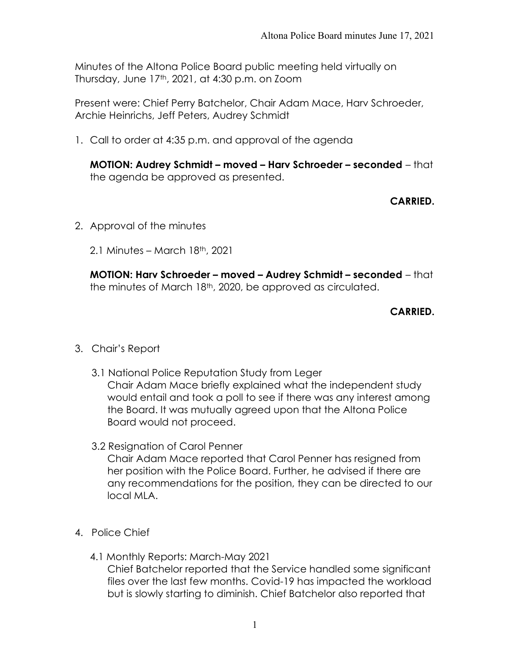Minutes of the Altona Police Board public meeting held virtually on Thursday, June  $17<sup>th</sup>$ , 2021, at 4:30 p.m. on Zoom

Present were: Chief Perry Batchelor, Chair Adam Mace, Harv Schroeder, Archie Heinrichs, Jeff Peters, Audrey Schmidt

1. Call to order at 4:35 p.m. and approval of the agenda

MOTION: Audrey Schmidt – moved – Harv Schroeder – seconded – that the agenda be approved as presented.

### CARRIED.

2. Approval of the minutes

2.1 Minutes – March 18th, 2021

MOTION: Harv Schroeder – moved – Audrey Schmidt – seconded – that the minutes of March 18<sup>th</sup>, 2020, be approved as circulated.

# CARRIED.

#### 3. Chair's Report

- 3.1 National Police Reputation Study from Leger Chair Adam Mace briefly explained what the independent study would entail and took a poll to see if there was any interest among the Board. It was mutually agreed upon that the Altona Police Board would not proceed.
- 3.2 Resignation of Carol Penner

Chair Adam Mace reported that Carol Penner has resigned from her position with the Police Board. Further, he advised if there are any recommendations for the position, they can be directed to our local MLA.

- 4. Police Chief
	- 4.1 Monthly Reports: March-May 2021 Chief Batchelor reported that the Service handled some significant files over the last few months. Covid-19 has impacted the workload but is slowly starting to diminish. Chief Batchelor also reported that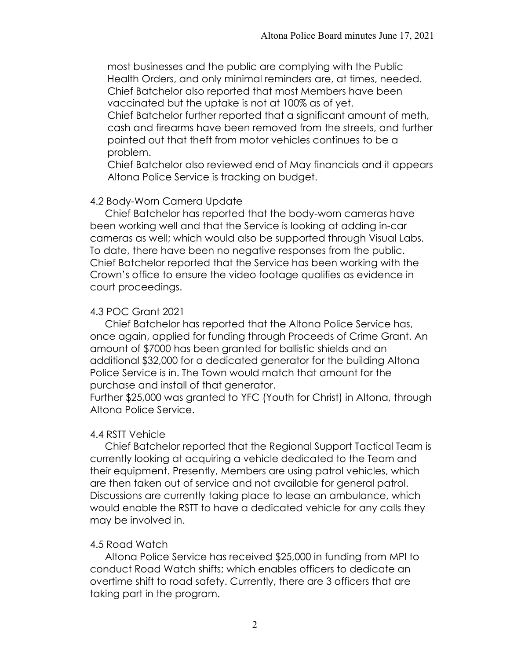most businesses and the public are complying with the Public Health Orders, and only minimal reminders are, at times, needed. Chief Batchelor also reported that most Members have been vaccinated but the uptake is not at 100% as of yet.

Chief Batchelor further reported that a significant amount of meth, cash and firearms have been removed from the streets, and further pointed out that theft from motor vehicles continues to be a problem.

Chief Batchelor also reviewed end of May financials and it appears Altona Police Service is tracking on budget.

### 4.2 Body-Worn Camera Update

 Chief Batchelor has reported that the body-worn cameras have been working well and that the Service is looking at adding in-car cameras as well; which would also be supported through Visual Labs. To date, there have been no negative responses from the public. Chief Batchelor reported that the Service has been working with the Crown's office to ensure the video footage qualifies as evidence in court proceedings.

## 4.3 POC Grant 2021

 Chief Batchelor has reported that the Altona Police Service has, once again, applied for funding through Proceeds of Crime Grant. An amount of \$7000 has been granted for ballistic shields and an additional \$32,000 for a dedicated generator for the building Altona Police Service is in. The Town would match that amount for the purchase and install of that generator.

Further \$25,000 was granted to YFC (Youth for Christ) in Altona, through Altona Police Service.

## 4.4 RSTT Vehicle

 Chief Batchelor reported that the Regional Support Tactical Team is currently looking at acquiring a vehicle dedicated to the Team and their equipment. Presently, Members are using patrol vehicles, which are then taken out of service and not available for general patrol. Discussions are currently taking place to lease an ambulance, which would enable the RSTT to have a dedicated vehicle for any calls they may be involved in.

#### 4.5 Road Watch

 Altona Police Service has received \$25,000 in funding from MPI to conduct Road Watch shifts; which enables officers to dedicate an overtime shift to road safety. Currently, there are 3 officers that are taking part in the program.